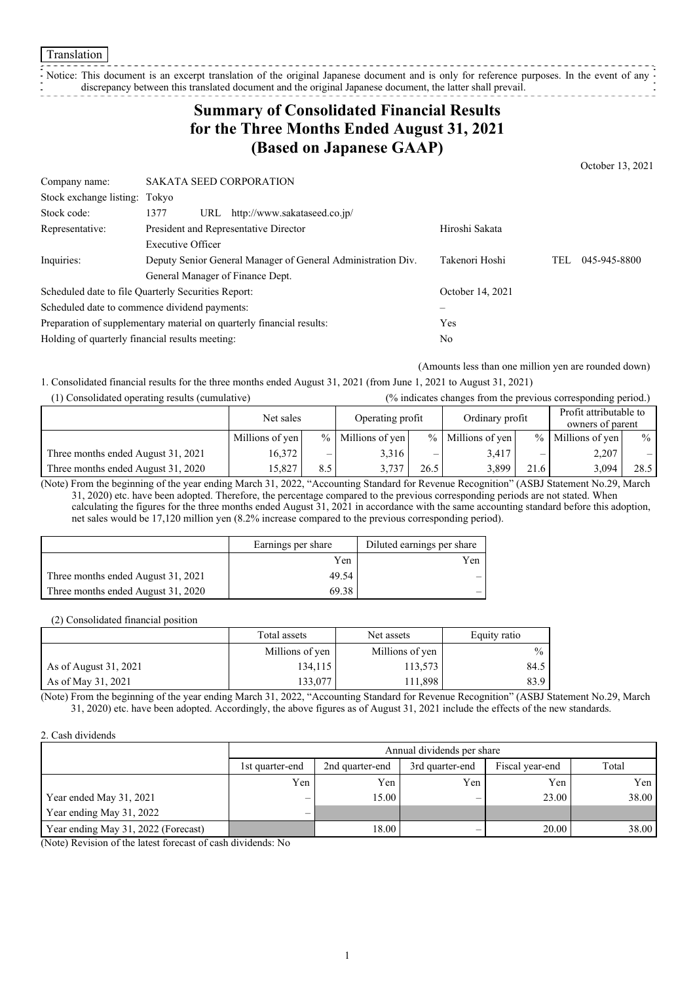Notice: This document is an excerpt translation of the original Japanese document and is only for reference purposes. In the event of any discrepancy between this translated document and the original Japanese document, the latter shall prevail.

## **Summary of Consolidated Financial Results for the Three Months Ended August 31, 2021 (Based on Japanese GAAP)**

Company name: SAKATA SEED CORPORATION Stock exchange listing: Tokyo Stock code: 1377 URL http://www.sakataseed.co.jp/ Representative: President and Representative Director Hiroshi Sakata Inquiries: Executive Officer Deputy Senior General Manager of General Administration Div. General Manager of Finance Dept. Takenori Hoshi TEL 045-945-8800 Scheduled date to file Quarterly Securities Report: October 14, 2021 Scheduled date to commence dividend payments: Preparation of supplementary material on quarterly financial results: Yes Holding of quarterly financial results meeting: No

(Amounts less than one million yen are rounded down)

October 13, 2021

1. Consolidated financial results for the three months ended August 31, 2021 (from June 1, 2021 to August 31, 2021)

| (1) Consolidated operating results (cumulative) |                               |     | (% indicates changes from the previous corresponding period.) |                 |                     |      |                                            |      |
|-------------------------------------------------|-------------------------------|-----|---------------------------------------------------------------|-----------------|---------------------|------|--------------------------------------------|------|
|                                                 | Operating profit<br>Net sales |     |                                                               | Ordinary profit |                     |      | Profit attributable to<br>owners of parent |      |
|                                                 | Millions of yen               |     | $%$ Millions of yen                                           |                 | $%$ Millions of yen |      | % Millions of yen                          | $\%$ |
| Three months ended August 31, 2021              | 16,372                        | _   | 3,316                                                         |                 | 3,417               | –    | 2,207                                      |      |
| Three months ended August 31, 2020              | 15.827                        | 8.5 | 3.737                                                         | 26.5            | 3.899               | 21.6 | 3.094                                      | 28.5 |

(Note) From the beginning of the year ending March 31, 2022, "Accounting Standard for Revenue Recognition" (ASBJ Statement No.29, March 31, 2020) etc. have been adopted. Therefore, the percentage compared to the previous corresponding periods are not stated. When calculating the figures for the three months ended August 31, 2021 in accordance with the same accounting standard before this adoption, net sales would be 17,120 million yen (8.2% increase compared to the previous corresponding period).

|                                    | Earnings per share | Diluted earnings per share |
|------------------------------------|--------------------|----------------------------|
|                                    | Yen                | Yen                        |
| Three months ended August 31, 2021 | 49.54              |                            |
| Three months ended August 31, 2020 | 69.38              |                            |

(2) Consolidated financial position

|                       | Total assets    | Net assets      | Equity ratio |
|-----------------------|-----------------|-----------------|--------------|
|                       | Millions of yen | Millions of yen | $\%$         |
| As of August 31, 2021 | 134.115         | 113,573         | 84.5         |
| As of May 31, 2021    | 133.077         | 111,898         | 83.9         |

(Note) From the beginning of the year ending March 31, 2022, "Accounting Standard for Revenue Recognition" (ASBJ Statement No.29, March 31, 2020) etc. have been adopted. Accordingly, the above figures as of August 31, 2021 include the effects of the new standards.

#### 2. Cash dividends

|                                     | Annual dividends per share |                 |                 |                 |       |  |
|-------------------------------------|----------------------------|-----------------|-----------------|-----------------|-------|--|
|                                     | 1st quarter-end            | 2nd quarter-end | 3rd quarter-end | Fiscal year-end | Total |  |
|                                     | Yen                        | Yen             | Yen             | Yen             | Yen   |  |
| Year ended May 31, 2021             | $\overline{\phantom{0}}$   | 15.00           | –               | 23.00           | 38.00 |  |
| Year ending May 31, 2022            | —                          |                 |                 |                 |       |  |
| Year ending May 31, 2022 (Forecast) |                            | 18.00           |                 | 20.00           | 38.00 |  |

(Note) Revision of the latest forecast of cash dividends: No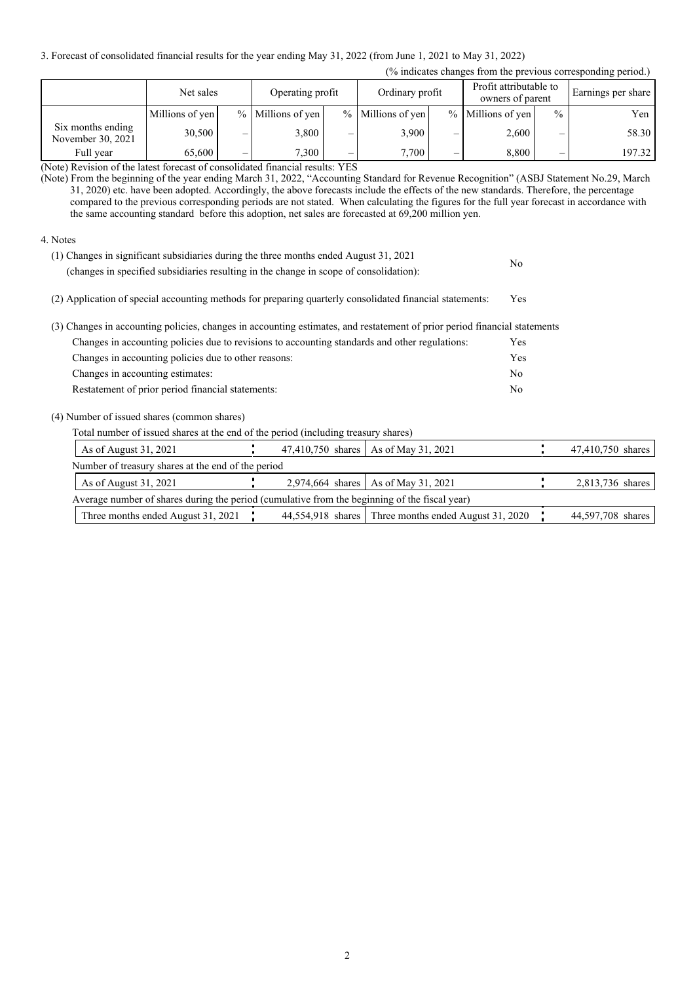3. Forecast of consolidated financial results for the year ending May 31, 2022 (from June 1, 2021 to May 31, 2022)

| (% indicates changes from the previous corresponding period.) |                 |        |                                     |                                 |                                            |                          |                     |                          |        |
|---------------------------------------------------------------|-----------------|--------|-------------------------------------|---------------------------------|--------------------------------------------|--------------------------|---------------------|--------------------------|--------|
|                                                               | Net sales       |        | Ordinary profit<br>Operating profit |                                 | Profit attributable to<br>owners of parent |                          | Earnings per share  |                          |        |
|                                                               | Millions of yen |        | % Millions of yen                   |                                 | % Millions of yen                          |                          | $%$ Millions of yen | $\frac{0}{0}$            | Yen    |
| Six months ending<br>November 30, 2021                        | 30,500          | —      | 3,800                               |                                 | 3,900                                      | -                        | 2,600               |                          | 58.30  |
| Full year<br>.<br>.                                           | 65,600          | –<br>. | 7.300<br>.<br>$\cdot$ $\cdot$       | $\overline{\phantom{0}}$<br>___ | 7.700                                      | $\overline{\phantom{0}}$ | 8.800               | $\overline{\phantom{0}}$ | 197.32 |

(Note) Revision of the latest forecast of consolidated financial results: YES

(Note) From the beginning of the year ending March 31, 2022, "Accounting Standard for Revenue Recognition" (ASBJ Statement No.29, March 31, 2020) etc. have been adopted. Accordingly, the above forecasts include the effects of the new standards. Therefore, the percentage compared to the previous corresponding periods are not stated. When calculating the figures for the full year forecast in accordance with the same accounting standard before this adoption, net sales are forecasted at 69,200 million yen.

### 4. Notes

| (1) Changes in significant subsidiaries during the three months ended August 31, 2021<br>(changes in specified subsidiaries resulting in the change in scope of consolidation): | No             |                   |
|---------------------------------------------------------------------------------------------------------------------------------------------------------------------------------|----------------|-------------------|
| (2) Application of special accounting methods for preparing quarterly consolidated financial statements:                                                                        | Yes            |                   |
| (3) Changes in accounting policies, changes in accounting estimates, and restatement of prior period financial statements                                                       |                |                   |
| Changes in accounting policies due to revisions to accounting standards and other regulations:                                                                                  | Yes            |                   |
| Changes in accounting policies due to other reasons:                                                                                                                            | Yes            |                   |
| Changes in accounting estimates:                                                                                                                                                | N <sub>o</sub> |                   |
| Restatement of prior period financial statements:                                                                                                                               | N <sub>o</sub> |                   |
| (4) Number of issued shares (common shares)                                                                                                                                     |                |                   |
| Total number of issued shares at the end of the period (including treasury shares)                                                                                              |                |                   |
| 47,410,750 shares   As of May 31, 2021<br>As of August 31, 2021                                                                                                                 |                | 47,410,750 shares |
| Number of treasury shares at the end of the period                                                                                                                              |                |                   |
| 2,974,664 shares   As of May 31, 2021<br>As of August 31, 2021                                                                                                                  |                | 2,813,736 shares  |
| Average number of shares during the period (cumulative from the beginning of the fiscal year)                                                                                   |                |                   |

Three months ended August 31, 2021 44,554,918 shares Three months ended August 31, 2020 44,597,708 shares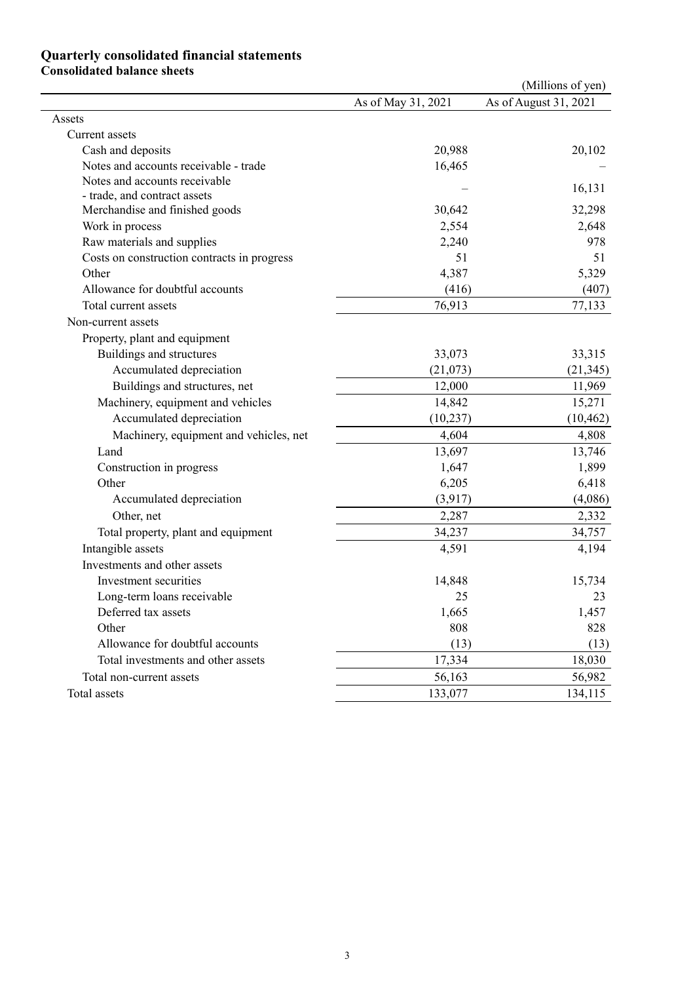### **Quarterly consolidated financial statements Consolidated balance sheets**

|                                             |                    | (Millions of yen)     |
|---------------------------------------------|--------------------|-----------------------|
|                                             | As of May 31, 2021 | As of August 31, 2021 |
| Assets                                      |                    |                       |
| Current assets                              |                    |                       |
| Cash and deposits                           | 20,988             | 20,102                |
| Notes and accounts receivable - trade       | 16,465             |                       |
| Notes and accounts receivable               |                    | 16,131                |
| - trade, and contract assets                |                    |                       |
| Merchandise and finished goods              | 30,642             | 32,298                |
| Work in process                             | 2,554              | 2,648                 |
| Raw materials and supplies                  | 2,240              | 978                   |
| Costs on construction contracts in progress | 51                 | 51                    |
| Other                                       | 4,387              | 5,329                 |
| Allowance for doubtful accounts             | (416)              | (407)                 |
| Total current assets                        | 76,913             | 77,133                |
| Non-current assets                          |                    |                       |
| Property, plant and equipment               |                    |                       |
| Buildings and structures                    | 33,073             | 33,315                |
| Accumulated depreciation                    | (21,073)           | (21, 345)             |
| Buildings and structures, net               | 12,000             | 11,969                |
| Machinery, equipment and vehicles           | 14,842             | 15,271                |
| Accumulated depreciation                    | (10, 237)          | (10, 462)             |
| Machinery, equipment and vehicles, net      | 4,604              | 4,808                 |
| Land                                        | 13,697             | 13,746                |
| Construction in progress                    | 1,647              | 1,899                 |
| Other                                       | 6,205              | 6,418                 |
| Accumulated depreciation                    | (3,917)            | (4,086)               |
| Other, net                                  | 2,287              | 2,332                 |
| Total property, plant and equipment         | 34,237             | 34,757                |
| Intangible assets                           | 4,591              | 4,194                 |
| Investments and other assets                |                    |                       |
| Investment securities                       | 14,848             | 15,734                |
| Long-term loans receivable                  | 25                 | 23                    |
| Deferred tax assets                         | 1,665              | 1,457                 |
| Other                                       | 808                | 828                   |
| Allowance for doubtful accounts             | (13)               | (13)                  |
| Total investments and other assets          | 17,334             | 18,030                |
| Total non-current assets                    | 56,163             | 56,982                |
| Total assets                                | 133,077            | 134,115               |
|                                             |                    |                       |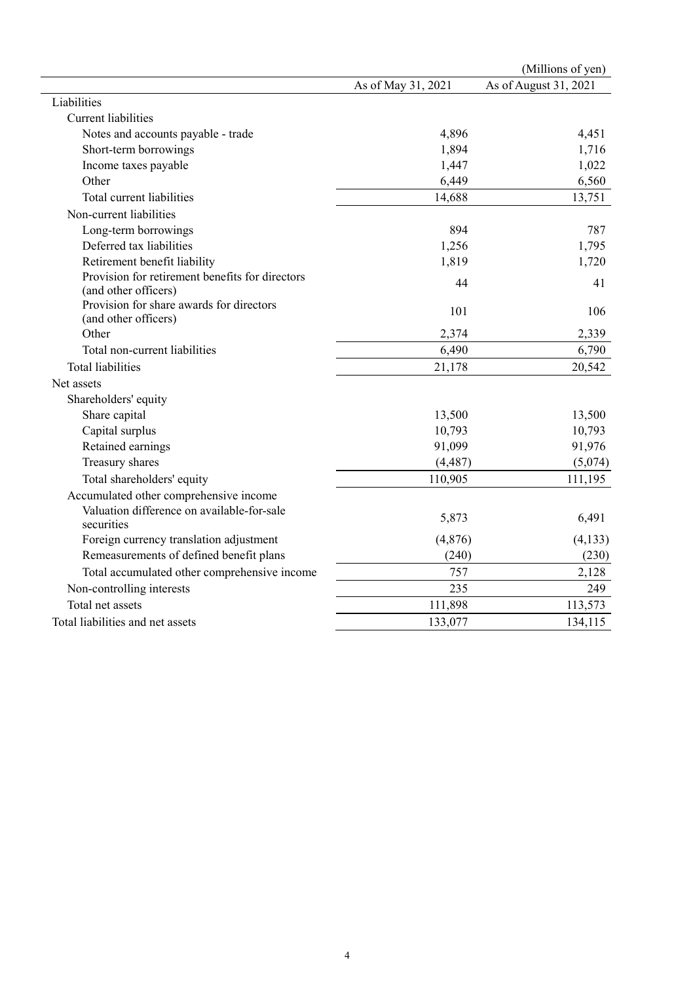|                                                                         |                    | (Millions of yen)     |
|-------------------------------------------------------------------------|--------------------|-----------------------|
|                                                                         | As of May 31, 2021 | As of August 31, 2021 |
| Liabilities                                                             |                    |                       |
| <b>Current liabilities</b>                                              |                    |                       |
| Notes and accounts payable - trade                                      | 4,896              | 4,451                 |
| Short-term borrowings                                                   | 1,894              | 1,716                 |
| Income taxes payable                                                    | 1,447              | 1,022                 |
| Other                                                                   | 6,449              | 6,560                 |
| Total current liabilities                                               | 14,688             | 13,751                |
| Non-current liabilities                                                 |                    |                       |
| Long-term borrowings                                                    | 894                | 787                   |
| Deferred tax liabilities                                                | 1,256              | 1,795                 |
| Retirement benefit liability                                            | 1,819              | 1,720                 |
| Provision for retirement benefits for directors<br>(and other officers) | 44                 | 41                    |
| Provision for share awards for directors<br>(and other officers)        | 101                | 106                   |
| Other                                                                   | 2,374              | 2,339                 |
| Total non-current liabilities                                           | 6,490              | 6,790                 |
| <b>Total liabilities</b>                                                | 21,178             | 20,542                |
| Net assets                                                              |                    |                       |
| Shareholders' equity                                                    |                    |                       |
| Share capital                                                           | 13,500             | 13,500                |
| Capital surplus                                                         | 10,793             | 10,793                |
| Retained earnings                                                       | 91,099             | 91,976                |
| Treasury shares                                                         | (4, 487)           | (5,074)               |
| Total shareholders' equity                                              | 110,905            | 111,195               |
| Accumulated other comprehensive income                                  |                    |                       |
| Valuation difference on available-for-sale<br>securities                | 5,873              | 6,491                 |
| Foreign currency translation adjustment                                 | (4, 876)           | (4, 133)              |
| Remeasurements of defined benefit plans                                 | (240)              | (230)                 |
| Total accumulated other comprehensive income                            | 757                | 2,128                 |
| Non-controlling interests                                               | 235                | 249                   |
| Total net assets                                                        | 111,898            | 113,573               |
| Total liabilities and net assets                                        | 133,077            | 134,115               |
|                                                                         |                    |                       |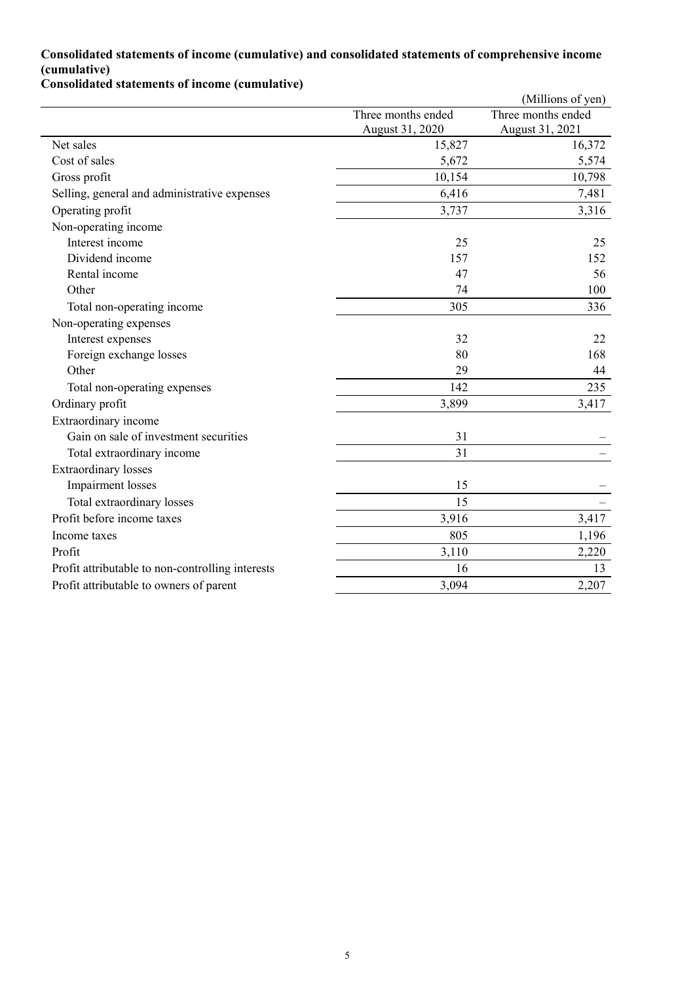## **Consolidated statements of income (cumulative) and consolidated statements of comprehensive income (cumulative)**

**Consolidated statements of income (cumulative)**

|                                                  |                    | (Millions of yen)  |
|--------------------------------------------------|--------------------|--------------------|
|                                                  | Three months ended | Three months ended |
|                                                  | August 31, 2020    | August 31, 2021    |
| Net sales                                        | 15,827             | 16,372             |
| Cost of sales                                    | 5,672              | 5,574              |
| Gross profit                                     | 10,154             | 10,798             |
| Selling, general and administrative expenses     | 6,416              | 7,481              |
| Operating profit                                 | 3,737              | 3,316              |
| Non-operating income                             |                    |                    |
| Interest income                                  | 25                 | 25                 |
| Dividend income                                  | 157                | 152                |
| Rental income                                    | 47                 | 56                 |
| Other                                            | 74                 | 100                |
| Total non-operating income                       | 305                | 336                |
| Non-operating expenses                           |                    |                    |
| Interest expenses                                | 32                 | 22                 |
| Foreign exchange losses                          | 80                 | 168                |
| Other                                            | 29                 | 44                 |
| Total non-operating expenses                     | 142                | 235                |
| Ordinary profit                                  | 3,899              | 3,417              |
| Extraordinary income                             |                    |                    |
| Gain on sale of investment securities            | 31                 |                    |
| Total extraordinary income                       | 31                 |                    |
| <b>Extraordinary</b> losses                      |                    |                    |
| <b>Impairment</b> losses                         | 15                 |                    |
| Total extraordinary losses                       | 15                 |                    |
| Profit before income taxes                       | 3,916              | 3,417              |
| Income taxes                                     | 805                | 1,196              |
| Profit                                           | 3,110              | 2,220              |
| Profit attributable to non-controlling interests | 16                 | 13                 |
| Profit attributable to owners of parent          | 3,094              | 2,207              |
|                                                  |                    |                    |